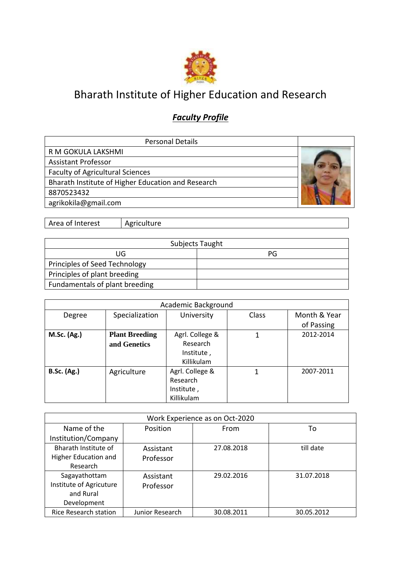

## Bharath Institute of Higher Education and Research

## *Faculty Profile*

| <b>Personal Details</b>                            |  |
|----------------------------------------------------|--|
| R M GOKULA LAKSHMI                                 |  |
| <b>Assistant Professor</b>                         |  |
| <b>Faculty of Agricultural Sciences</b>            |  |
| Bharath Institute of Higher Education and Research |  |
| 8870523432                                         |  |
| agrikokila@gmail.com                               |  |

Area of Interest | Agriculture

|                                | Subjects Taught |
|--------------------------------|-----------------|
| UG                             | PG              |
| Principles of Seed Technology  |                 |
| Principles of plant breeding   |                 |
| Fundamentals of plant breeding |                 |

|                    |                       | Academic Background |       |              |
|--------------------|-----------------------|---------------------|-------|--------------|
| Degree             | Specialization        | University          | Class | Month & Year |
|                    |                       |                     |       | of Passing   |
| <b>M.Sc. (Ag.)</b> | <b>Plant Breeding</b> | Agrl. College &     |       | 2012-2014    |
|                    | and Genetics          | Research            |       |              |
|                    |                       | Institute,          |       |              |
|                    |                       | Killikulam          |       |              |
| <b>B.Sc.</b> (Ag.) | Agriculture           | Agrl. College &     | 1     | 2007-2011    |
|                    |                       | Research            |       |              |
|                    |                       | Institute,          |       |              |
|                    |                       | Killikulam          |       |              |

|                              |                 | Work Experience as on Oct-2020 |            |
|------------------------------|-----------------|--------------------------------|------------|
| Name of the                  | Position        | From                           | To         |
| Institution/Company          |                 |                                |            |
| Bharath Institute of         | Assistant       | 27.08.2018                     | till date  |
| Higher Education and         | Professor       |                                |            |
| Research                     |                 |                                |            |
| Sagayathottam                | Assistant       | 29.02.2016                     | 31.07.2018 |
| Institute of Agricuture      | Professor       |                                |            |
| and Rural                    |                 |                                |            |
| Development                  |                 |                                |            |
| <b>Rice Research station</b> | Junior Research | 30.08.2011                     | 30.05.2012 |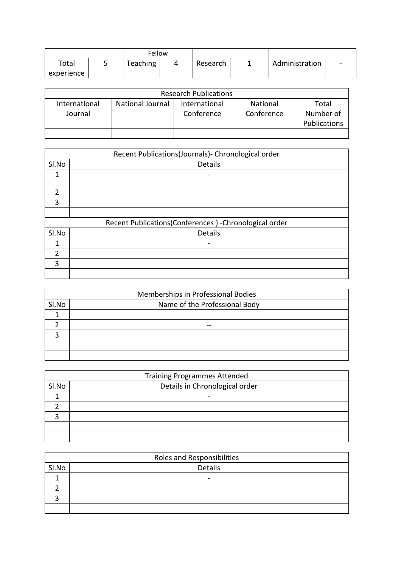|             | Fellow    |          |                |                          |
|-------------|-----------|----------|----------------|--------------------------|
| $\tau$ otal | Teaching, | Research | Administration | $\overline{\phantom{a}}$ |
| experience  |           |          |                |                          |

|                          |                  | <b>Research Publications</b> |                        |                                           |
|--------------------------|------------------|------------------------------|------------------------|-------------------------------------------|
| International<br>Journal | National Journal | International<br>Conference  | National<br>Conference | Total<br>Number of<br><b>Publications</b> |
|                          |                  |                              |                        |                                           |

|                | Recent Publications(Journals)- Chronological order     |
|----------------|--------------------------------------------------------|
| SI.No          | Details                                                |
| 1              |                                                        |
| $\overline{2}$ |                                                        |
| 3              |                                                        |
|                |                                                        |
|                | Recent Publications(Conferences) - Chronological order |
| SI.No          | Details                                                |
| 1              | -                                                      |
| $\overline{2}$ |                                                        |
| 3              |                                                        |
|                |                                                        |

|       | Memberships in Professional Bodies |
|-------|------------------------------------|
| Sl.No | Name of the Professional Body      |
|       |                                    |
|       | --                                 |
|       |                                    |
|       |                                    |
|       |                                    |

|       | <b>Training Programmes Attended</b> |
|-------|-------------------------------------|
| Sl.No | Details in Chronological order      |
|       | -                                   |
|       |                                     |
|       |                                     |
|       |                                     |
|       |                                     |

|       | Roles and Responsibilities |
|-------|----------------------------|
| Sl.No | Details                    |
|       | $\overline{\phantom{0}}$   |
|       |                            |
|       |                            |
|       |                            |